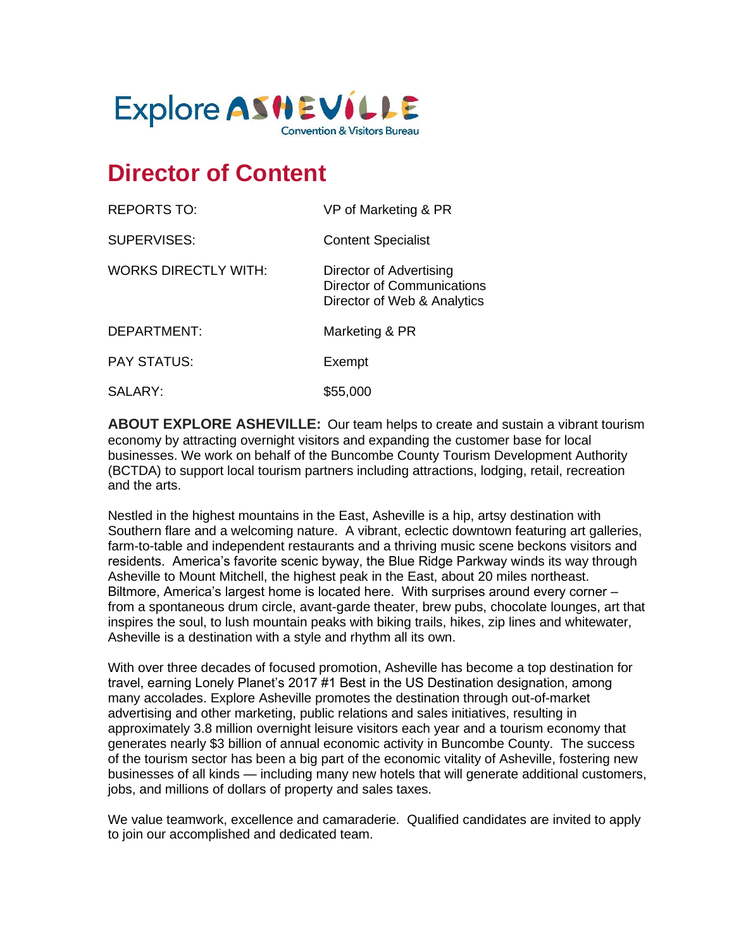

# **Director of Content**

| <b>REPORTS TO:</b>          | VP of Marketing & PR                                                                        |
|-----------------------------|---------------------------------------------------------------------------------------------|
| <b>SUPERVISES:</b>          | <b>Content Specialist</b>                                                                   |
| <b>WORKS DIRECTLY WITH:</b> | Director of Advertising<br><b>Director of Communications</b><br>Director of Web & Analytics |
| DEPARTMENT:                 | Marketing & PR                                                                              |
| <b>PAY STATUS:</b>          | Exempt                                                                                      |
| SALARY:                     | \$55,000                                                                                    |

**ABOUT EXPLORE ASHEVILLE:** Our team helps to create and sustain a vibrant tourism economy by attracting overnight visitors and expanding the customer base for local businesses. We work on behalf of the Buncombe County Tourism Development Authority (BCTDA) to support local tourism partners including attractions, lodging, retail, recreation and the arts.

Nestled in the highest mountains in the East, Asheville is a hip, artsy destination with Southern flare and a welcoming nature. A vibrant, eclectic downtown featuring art galleries, farm-to-table and independent restaurants and a thriving music scene beckons visitors and residents. America's favorite scenic byway, the Blue Ridge Parkway winds its way through Asheville to Mount Mitchell, the highest peak in the East, about 20 miles northeast. Biltmore, America's largest home is located here. With surprises around every corner – from a spontaneous drum circle, avant-garde theater, brew pubs, chocolate lounges, art that inspires the soul, to lush mountain peaks with biking trails, hikes, zip lines and whitewater, Asheville is a destination with a style and rhythm all its own.

With over three decades of focused promotion, Asheville has become a top destination for travel, earning Lonely Planet's 2017 #1 Best in the US Destination designation, among many accolades. Explore Asheville promotes the destination through out-of-market advertising and other marketing, public relations and sales initiatives, resulting in approximately 3.8 million overnight leisure visitors each year and a tourism economy that generates nearly \$3 billion of annual economic activity in Buncombe County. The success of the tourism sector has been a big part of the economic vitality of Asheville, fostering new businesses of all kinds — including many new hotels that will generate additional customers, jobs, and millions of dollars of property and sales taxes.

We value teamwork, excellence and camaraderie. Qualified candidates are invited to apply to join our accomplished and dedicated team.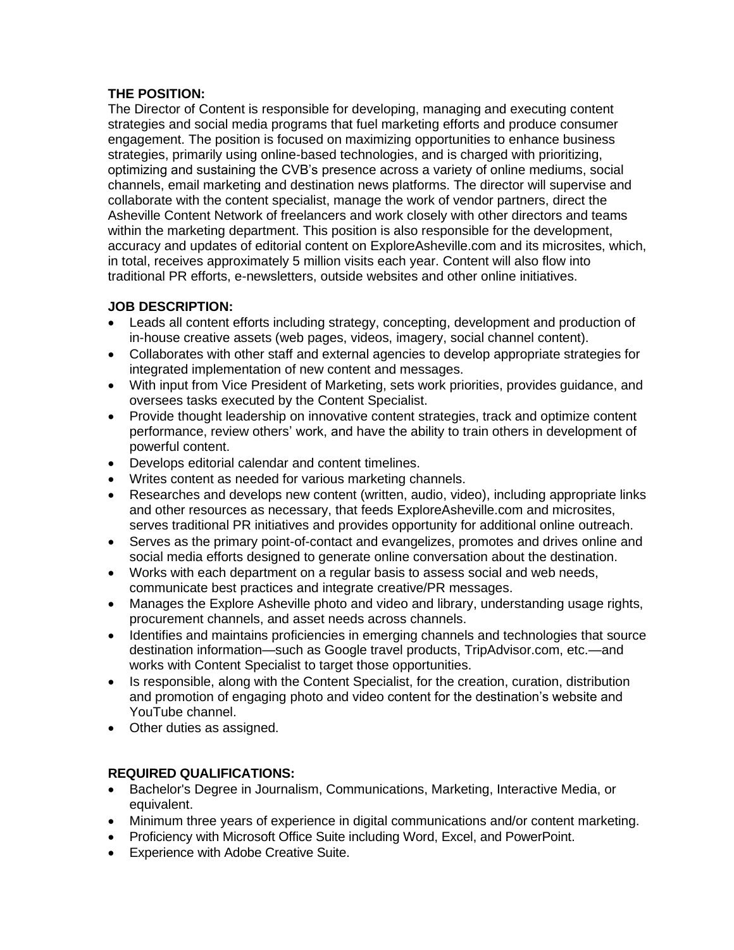## **THE POSITION:**

The Director of Content is responsible for developing, managing and executing content strategies and social media programs that fuel marketing efforts and produce consumer engagement. The position is focused on maximizing opportunities to enhance business strategies, primarily using online-based technologies, and is charged with prioritizing, optimizing and sustaining the CVB's presence across a variety of online mediums, social channels, email marketing and destination news platforms. The director will supervise and collaborate with the content specialist, manage the work of vendor partners, direct the Asheville Content Network of freelancers and work closely with other directors and teams within the marketing department. This position is also responsible for the development, accuracy and updates of editorial content on ExploreAsheville.com and its microsites, which, in total, receives approximately 5 million visits each year. Content will also flow into traditional PR efforts, e-newsletters, outside websites and other online initiatives.

## **JOB DESCRIPTION:**

- Leads all content efforts including strategy, concepting, development and production of in-house creative assets (web pages, videos, imagery, social channel content).
- Collaborates with other staff and external agencies to develop appropriate strategies for integrated implementation of new content and messages.
- With input from Vice President of Marketing, sets work priorities, provides guidance, and oversees tasks executed by the Content Specialist.
- Provide thought leadership on innovative content strategies, track and optimize content performance, review others' work, and have the ability to train others in development of powerful content.
- Develops editorial calendar and content timelines.
- Writes content as needed for various marketing channels.
- Researches and develops new content (written, audio, video), including appropriate links and other resources as necessary, that feeds ExploreAsheville.com and microsites, serves traditional PR initiatives and provides opportunity for additional online outreach.
- Serves as the primary point-of-contact and evangelizes, promotes and drives online and social media efforts designed to generate online conversation about the destination.
- Works with each department on a regular basis to assess social and web needs, communicate best practices and integrate creative/PR messages.
- Manages the Explore Asheville photo and video and library, understanding usage rights, procurement channels, and asset needs across channels.
- Identifies and maintains proficiencies in emerging channels and technologies that source destination information—such as Google travel products, TripAdvisor.com, etc.—and works with Content Specialist to target those opportunities.
- Is responsible, along with the Content Specialist, for the creation, curation, distribution and promotion of engaging photo and video content for the destination's website and YouTube channel.
- Other duties as assigned.

## **REQUIRED QUALIFICATIONS:**

- Bachelor's Degree in Journalism, Communications, Marketing, Interactive Media, or equivalent.
- Minimum three years of experience in digital communications and/or content marketing.
- Proficiency with Microsoft Office Suite including Word, Excel, and PowerPoint.
- Experience with Adobe Creative Suite.